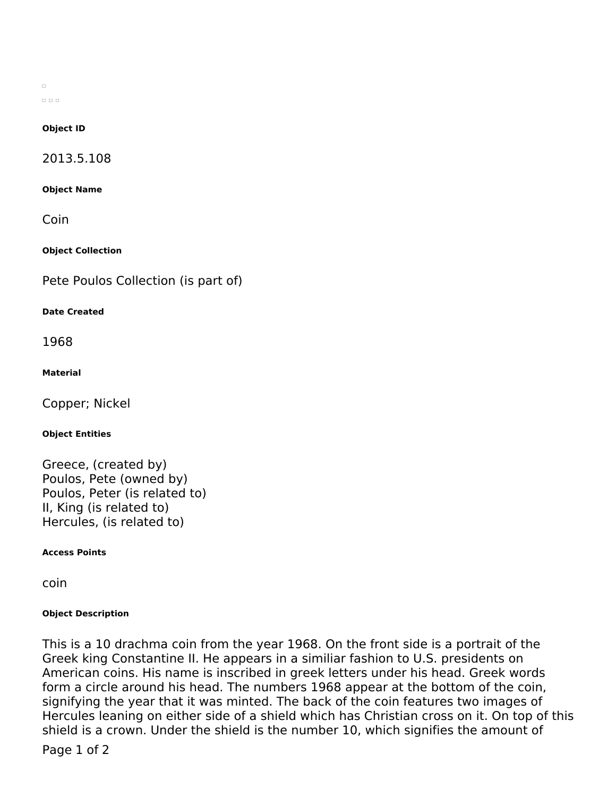$\Box$  $\Box$   $\Box$   $\Box$ 

#### **Object ID**

2013.5.108

**Object Name**

Coin

**Object Collection**

Pete Poulos Collection (is part of)

## **Date Created**

1968

## **Material**

Copper; Nickel

#### **Object Entities**

Greece, (created by) Poulos, Pete (owned by) Poulos, Peter (is related to) II, King (is related to) Hercules, (is related to)

**Access Points**

coin

# **Object Description**

This is a 10 drachma coin from the year 1968. On the front side is a portrait of the Greek king Constantine II. He appears in a similiar fashion to U.S. presidents on American coins. His name is inscribed in greek letters under his head. Greek words form a circle around his head. The numbers 1968 appear at the bottom of the coin, signifying the year that it was minted. The back of the coin features two images of Hercules leaning on either side of a shield which has Christian cross on it. On top of this shield is a crown. Under the shield is the number 10, which signifies the amount of

Page 1 of 2